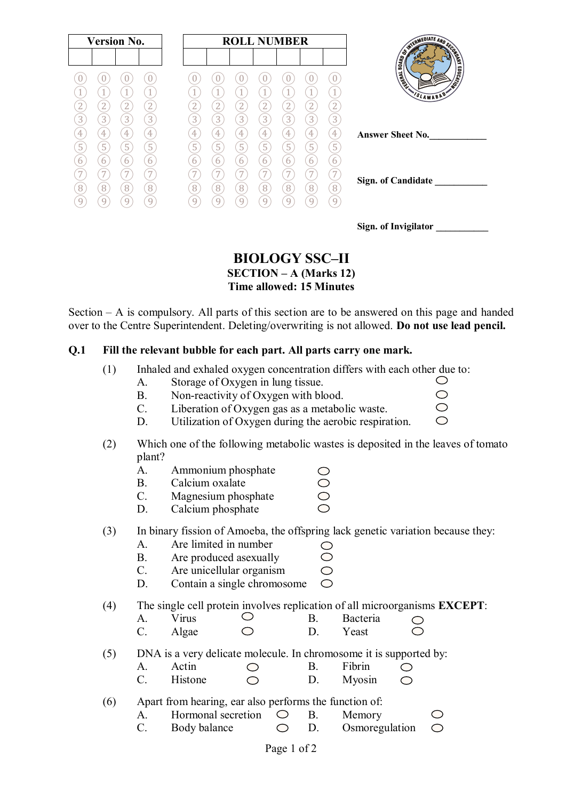| <b>Version No.</b>  |        |                | <b>ROLL NUMBER</b>  |         |                     |                          |                     |                 |        |        |                                    |
|---------------------|--------|----------------|---------------------|---------|---------------------|--------------------------|---------------------|-----------------|--------|--------|------------------------------------|
|                     |        |                |                     |         |                     |                          |                     |                 |        |        | SWITCHIEDLATE AND SCORE            |
|                     |        |                |                     |         |                     |                          |                     |                 |        |        | <b>EDUCATION</b><br><b>Huandis</b> |
|                     |        |                |                     |         | $\overline{A}$      |                          |                     | 1               |        |        | SLAMABAD                           |
| 2                   | 2      | 2              | $\overline{2}$      |         | $\overline{2}$      | 2                        | 2                   | $\overline{2}$  | ∠      | 2      |                                    |
| 3                   | 3      | $\overline{3}$ | 3                   | 3       | $\overline{3}$      | 3                        | 3                   | $\overline{3}$  | 3      | 3      |                                    |
| 4<br>$\overline{5}$ | 4      | 4              | 4<br>$\overline{5}$ | 4<br>r. | 4<br>$\overline{5}$ | 4                        | 4<br>$\overline{5}$ | 4<br>$\sqrt{5}$ | 4      | 4      | <b>Answer Sheet No.</b>            |
|                     | 5<br>6 | 5<br>6         | 6                   | Ь<br>h  | h                   | 5<br>6                   | 6                   | 6               | 5<br>6 | 5<br>6 |                                    |
|                     |        | $\overline{ }$ | $\overline{7}$      |         | $\overline{ }$      | $\overline{\phantom{0}}$ | 7                   | 7               |        |        |                                    |
| 8                   | 8      | 8              | 8                   | 8       | 8                   | 8                        | 8                   | 8               | 8      | 8      | <b>Sign. of Candidate</b>          |
|                     | q      | 9              | Q                   |         | g                   | 9                        | 9                   | 9               | g      | 9      |                                    |

| Sign. of Invigilator |  |
|----------------------|--|
|----------------------|--|

 $\circ$  $\bigcirc$  $\bigcirc$ 

## **BIOLOGY SSC–II SECTION – A (Marks 12)**

**Time allowed: 15 Minutes**

Section – A is compulsory. All parts of this section are to be answered on this page and handed over to the Centre Superintendent. Deleting/overwriting is not allowed. **Do not use lead pencil.**

#### **Q.1 Fill the relevant bubble for each part. All parts carry one mark.**

- (1) Inhaled and exhaled oxygen concentration differs with each other due to:  $\bigcirc$ 
	- A. Storage of Oxygen in lung tissue.
	- B. Non-reactivity of Oxygen with blood.
	- C. Liberation of Oxygen gas as a metabolic waste.
	- D. Utilization of Oxygen during the aerobic respiration.
- (2) Which one of the following metabolic wastes is deposited in the leaves of tomato plant?

 $\bigcirc$  $\bar{\circ}$  $\overline{\bigcirc}$ 

 $\circlearrowright$ 

- A. Ammonium phosphate
- B. Calcium oxalate
- C. Magnesium phosphate
- D. Calcium phosphate

(3) In binary fission of Amoeba, the offspring lack genetic variation because they:

- A. Are limited in number
- Ō B. Are produced asexually
- $\bigcirc$ C. Are unicellular organism
- D. Contain a single chromosome  $\bigcirc$

(4) The single cell protein involves replication of all microorganisms **EXCEPT**:

A. Virus  $\bigcirc$  B. Bacteria  $\circlearrowright$  $\bar{\bigcirc}$ C. Algae  $\bigcirc$  D. Yeast

(5) DNA is a very delicate molecule. In chromosome it is supported by:

- A. Actin  $\bigcirc$  B. Fibrin  $\bigcirc$
- C. Histone D. Myosin  $\bigcirc$
- (6) Apart from hearing, ear also performs the function of:
	- A. Hormonal secretion  $\bigcirc$  B. Memory  $\bigcirc$
	- $C.$  Body balance  $O.$  D. Osmoregulation  $\bigcirc$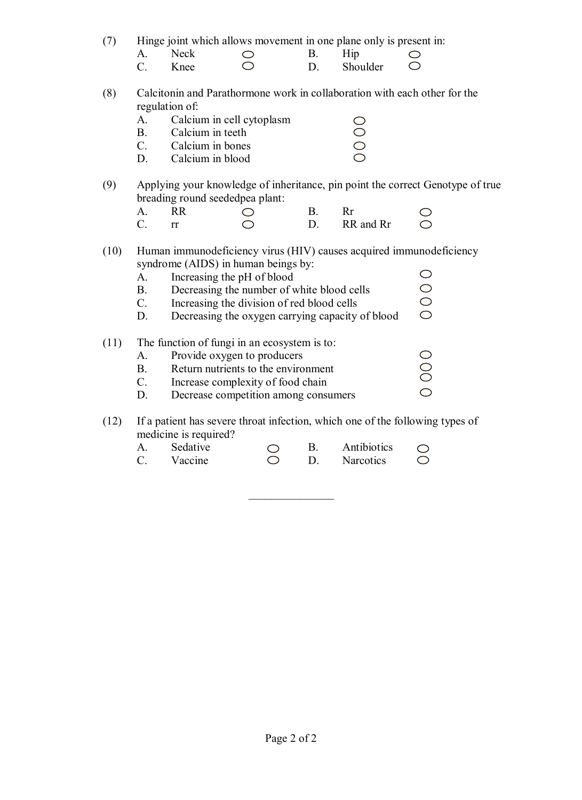(7) Hinge joint which allows movement in one plane only is present in:

- A. Neck  $\bigcirc$  B. Hip<br>C. Knee  $\bigcirc$  D. Shou C. Knee D. Shoulder
- (8) Calcitonin and Parathormone work in collaboration with each other for the regulation of:

 $\bigcirc$  $\circ$ 

- A. Calcium in cell cytoplasm B. Calcium in teeth
- C. Calcium in bones
- D. Calcium in blood
- (9) Applying your knowledge of inheritance, pin point the correct Genotype of true breading round seededpea plant:

 $\bigcirc$ 

 $\overline{O}$ 

| A. RR    |           | - R - |                         |  |
|----------|-----------|-------|-------------------------|--|
| $\Gamma$ | $\bigcap$ |       | D. RR and Rr $\bigcirc$ |  |

- (10) Human immunodeficiency virus (HIV) causes acquired immunodeficiency syndrome (AIDS) in human beings by:  $\bigcirc$ 
	- A. Increasing the pH of blood

| $\mathbf{B}$ | Decreasing the number of white blood cells |  |
|--------------|--------------------------------------------|--|
|              | Increasing the division of red blood cells |  |

- C. Increasing the division of red blood cells  $\circ$
- D. Decreasing the oxygen carrying capacity of blood

## (11) The function of fungi in an ecosystem is to:

- $000$ A. Provide oxygen to producers B. Return nutrients to the environment C. Increase complexity of food chain
- D. Decrease competition among consumers

## (12) If a patient has severe throat infection, which one of the following types of medicine is required?

 $\frac{1}{2}$ 

A. Sedative  $\bigcirc$  B. Antibiotics  $\bigcirc$ C. Vaccine  $\bigcirc$  D. Narcotics  $\bigcirc$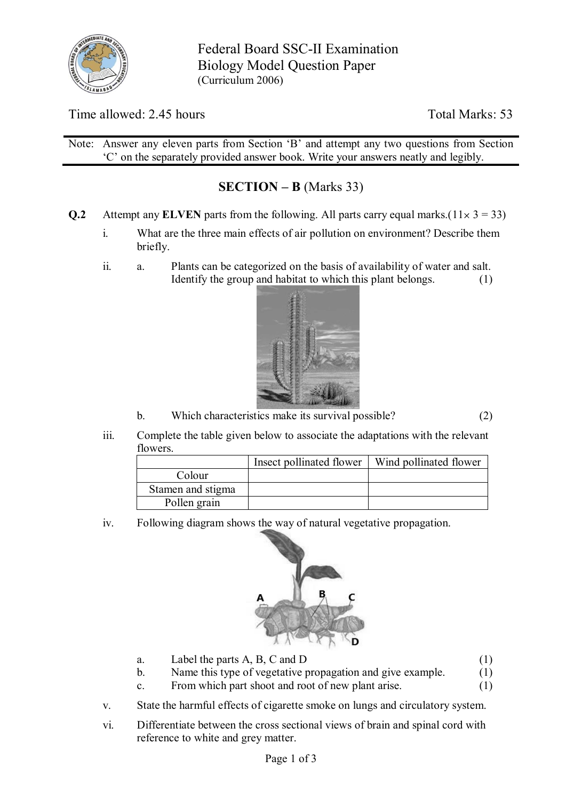

Federal Board SSC-II Examination Biology Model Question Paper (Curriculum 2006)

Time allowed: 2.45 hours Total Marks: 53

Note: Answer any eleven parts from Section 'B' and attempt any two questions from Section 'C' on the separately provided answer book. Write your answers neatly and legibly.

# **SECTION – B** (Marks 33)

- **Q.2** Attempt any **ELVEN** parts from the following. All parts carry equal marks.( $11 \times 3 = 33$ )
	- i. What are the three main effects of air pollution on environment? Describe them briefly.
	- ii. a. Plants can be categorized on the basis of availability of water and salt. Identify the group and habitat to which this plant belongs. (1)



b. Which characteristics make its survival possible? (2)

iii. Complete the table given below to associate the adaptations with the relevant flowers.

|                   | Insect pollinated flower | Wind pollinated flower |
|-------------------|--------------------------|------------------------|
| Colour            |                          |                        |
| Stamen and stigma |                          |                        |
| Pollen grain      |                          |                        |

iv. Following diagram shows the way of natural vegetative propagation.



- a. Label the parts A, B, C and D (1)
- b. Name this type of vegetative propagation and give example. (1)
- c. From which part shoot and root of new plant arise. (1)
- v. State the harmful effects of cigarette smoke on lungs and circulatory system.
- vi. Differentiate between the cross sectional views of brain and spinal cord with reference to white and grey matter.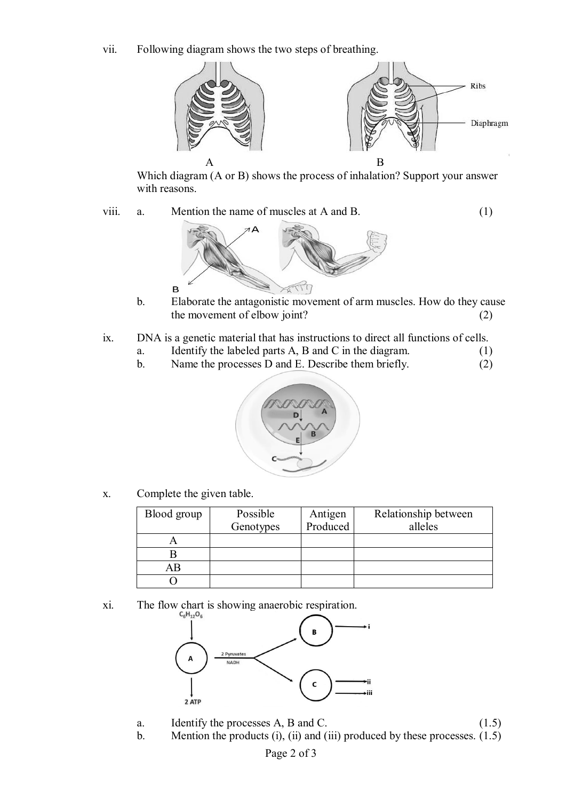vii. Following diagram shows the two steps of breathing.



Which diagram (A or B) shows the process of inhalation? Support your answer with reasons.

viii. a. Mention the name of muscles at A and B. (1)



- b. Elaborate the antagonistic movement of arm muscles. How do they cause the movement of elbow joint? (2)
- ix. DNA is a genetic material that has instructions to direct all functions of cells.
	- a. Identify the labeled parts A, B and C in the diagram. (1)
	- b. Name the processes D and E. Describe them briefly. (2)



x. Complete the given table.

 $\overline{B}$ 

| Blood group | Possible  | Antigen  | Relationship between |
|-------------|-----------|----------|----------------------|
|             | Genotypes | Produced | alleles              |
|             |           |          |                      |
|             |           |          |                      |
| АB          |           |          |                      |
|             |           |          |                      |

xi. The flow chart is showing anaerobic respiration.



- a. Identify the processes  $A$ ,  $B$  and  $C$ . (1.5)
- b. Mention the products (i), (ii) and (iii) produced by these processes. (1.5)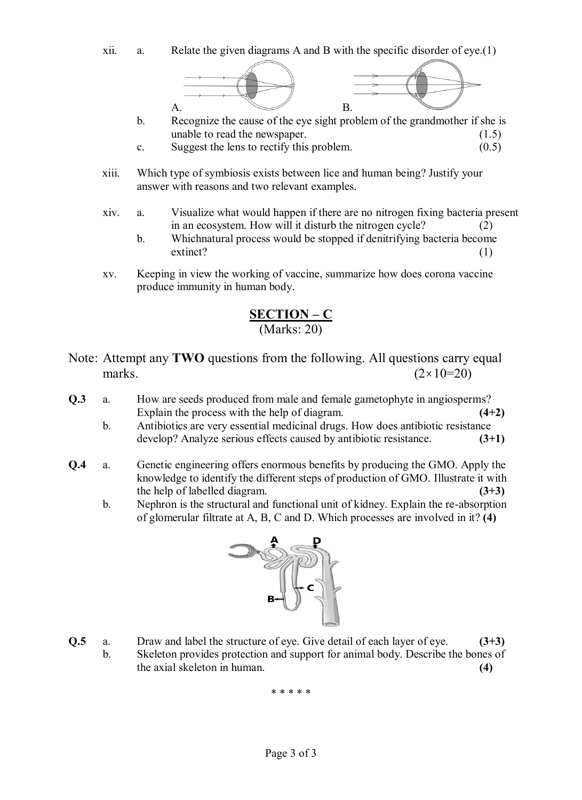xii. a. Relate the given diagrams A and B with the specific disorder of eye.(1)



- b. Recognize the cause of the eye sight problem of the grandmother if she is unable to read the newspaper. (1.5)
- c. Suggest the lens to rectify this problem.  $(0.5)$
- xiii. Which type of symbiosis exists between lice and human being? Justify your answer with reasons and two relevant examples.
- xiv. a. Visualize what would happen if there are no nitrogen fixing bacteria present in an ecosystem. How will it disturb the nitrogen cycle? (2)
	- b. Whichnatural process would be stopped if denitrifying bacteria become extinct? (1)
- xv. Keeping in view the working of vaccine, summarize how does corona vaccine produce immunity in human body.

## **SECTION – C** (Marks: 20)

- Note: Attempt any **TWO** questions from the following. All questions carry equal marks.  $(2 \times 10=20)$
- **Q.3** a. How are seeds produced from male and female gametophyte in angiosperms? Explain the process with the help of diagram. **(4+2)**
	- b. Antibiotics are very essential medicinal drugs. How does antibiotic resistance develop? Analyze serious effects caused by antibiotic resistance. **(3+1)**
- **Q.4** a. Genetic engineering offers enormous benefits by producing the GMO. Apply the knowledge to identify the different steps of production of GMO. Illustrate it with the help of labelled diagram. **(3+3)**
	- b. Nephron is the structural and functional unit of kidney. Explain the re-absorption of glomerular filtrate at A, B, C and D. Which processes are involved in it? **(4)**



- **Q.5** a. Draw and label the structure of eye. Give detail of each layer of eye. **(3+3)**
	- b. Skeleton provides protection and support for animal body. Describe the bones of the axial skeleton in human. **(4)**

\* \* \* \* \*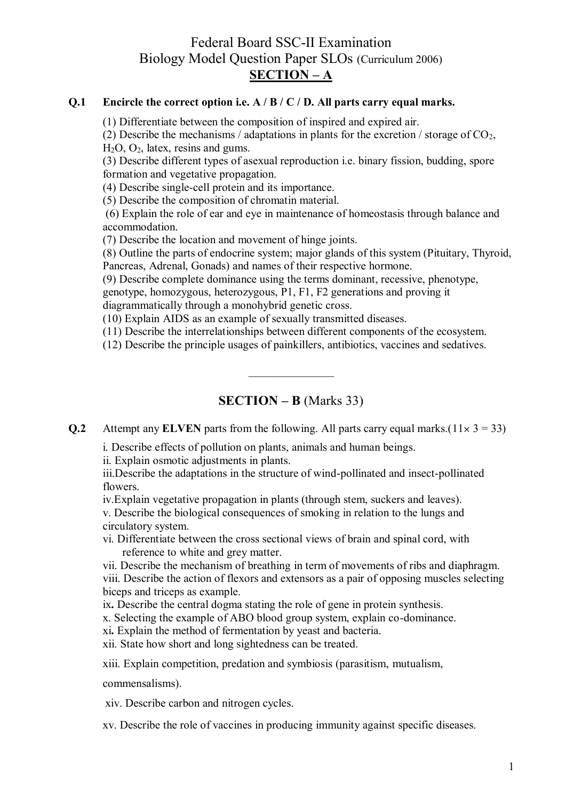## Federal Board SSC-II Examination Biology Model Question Paper SLOs (Curriculum 2006) **SECTION – A**

#### **Q.1 Encircle the correct option i.e. A / B / C / D. All parts carry equal marks.**

(1) Differentiate between the composition of inspired and expired air.

(2) Describe the mechanisms / adaptations in plants for the excretion / storage of  $CO<sub>2</sub>$ , H2O, O2, latex, resins and gums.

(3) Describe different types of asexual reproduction i.e. binary fission, budding, spore formation and vegetative propagation.

(4) Describe single-cell protein and its importance.

(5) Describe the composition of chromatin material.

(6) Explain the role of ear and eye in maintenance of homeostasis through balance and accommodation.

(7) Describe the location and movement of hinge joints.

(8) Outline the parts of endocrine system; major glands of this system (Pituitary, Thyroid, Pancreas, Adrenal, Gonads) and names of their respective hormone.

(9) Describe complete dominance using the terms dominant, recessive, phenotype, genotype, homozygous, heterozygous, P1, F1, F2 generations and proving it

diagrammatically through a monohybrid genetic cross.

(10) Explain AIDS as an example of sexually transmitted diseases.

(11) Describe the interrelationships between different components of the ecosystem.

(12) Describe the principle usages of painkillers, antibiotics, vaccines and sedatives.

## **SECTION – B** (Marks 33)

 $\mathcal{L}_\text{max}$  . The set of the set of the set of the set of the set of the set of the set of the set of the set of the set of the set of the set of the set of the set of the set of the set of the set of the set of the set

**Q.2** Attempt any **ELVEN** parts from the following. All parts carry equal marks.( $11 \times 3 = 33$ )

i. Describe effects of pollution on plants, animals and human beings.

ii. Explain osmotic adjustments in plants.

iii.Describe the adaptations in the structure of wind-pollinated and insect-pollinated flowers.

iv.Explain vegetative propagation in plants (through stem, suckers and leaves). v. Describe the biological consequences of smoking in relation to the lungs and circulatory system.

vi. Differentiate between the cross sectional views of brain and spinal cord, with reference to white and grey matter.

vii. Describe the mechanism of breathing in term of movements of ribs and diaphragm. viii. Describe the action of flexors and extensors as a pair of opposing muscles selecting biceps and triceps as example.

ix**.** Describe the central dogma stating the role of gene in protein synthesis.

x. Selecting the example of ABO blood group system, explain co-dominance.

xi**.** Explain the method of fermentation by yeast and bacteria.

xii. State how short and long sightedness can be treated.

xiii. Explain competition, predation and symbiosis (parasitism, mutualism,

commensalisms).

xiv. Describe carbon and nitrogen cycles.

xv. Describe the role of vaccines in producing immunity against specific diseases.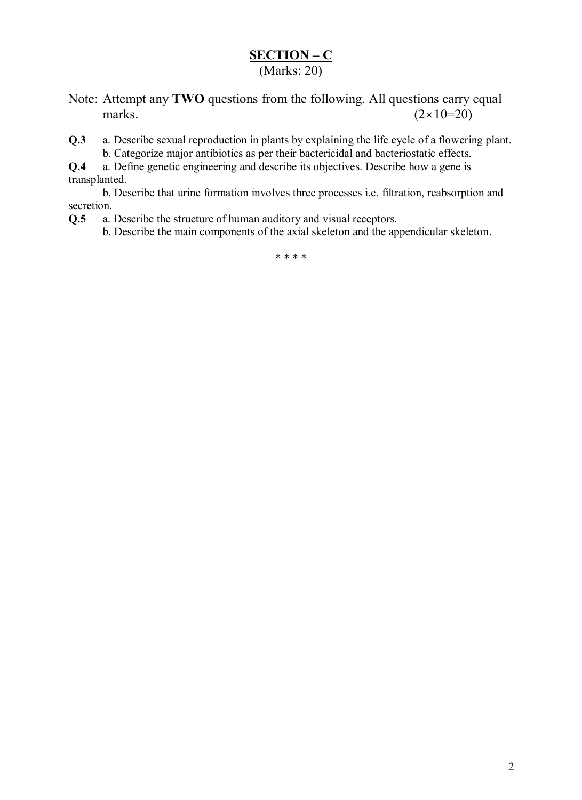# **SECTION – C**

(Marks: 20)

- Note: Attempt any **TWO** questions from the following. All questions carry equal marks.  $(2 \times 10=20)$
- **Q.3** a. Describe sexual reproduction in plants by explaining the life cycle of a flowering plant. b. Categorize major antibiotics as per their bactericidal and bacteriostatic effects.

**Q.4** a. Define genetic engineering and describe its objectives. Describe how a gene is transplanted.

b. Describe that urine formation involves three processes i.e. filtration, reabsorption and secretion.

**Q.5** a. Describe the structure of human auditory and visual receptors.

b. Describe the main components of the axial skeleton and the appendicular skeleton.

\* \* \* \*